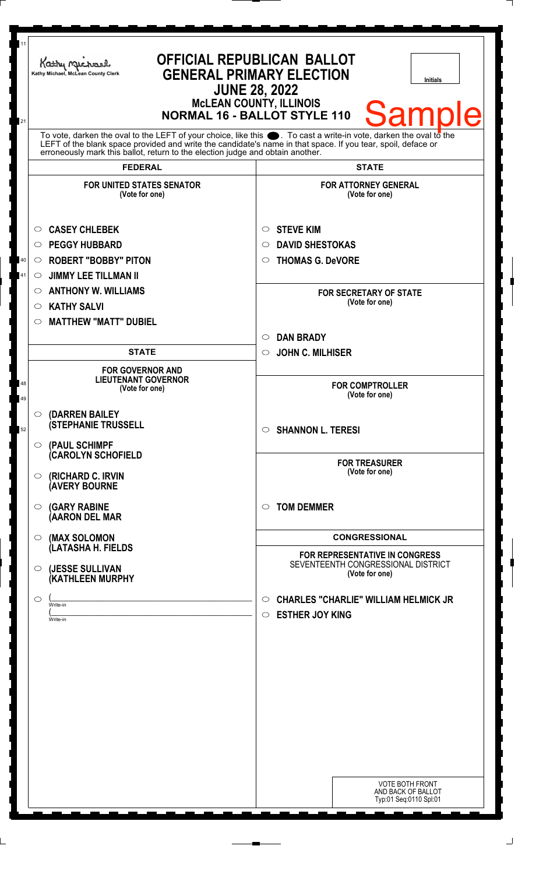| 11       | Kathy Michael<br>Kathy Michael, McLean County Clerk                                                                                                                                                                                                                                            | <b>OFFICIAL REPUBLICAN BALLOT</b><br><b>GENERAL PRIMARY ELECTION</b><br><b>Initials</b><br><b>JUNE 28, 2022</b><br><b>McLEAN COUNTY, ILLINOIS</b> |  |
|----------|------------------------------------------------------------------------------------------------------------------------------------------------------------------------------------------------------------------------------------------------------------------------------------------------|---------------------------------------------------------------------------------------------------------------------------------------------------|--|
| 21       | Sam<br>IA<br><b>NORMAL 16 - BALLOT STYLE 110</b><br>To vote, darken the oval to the LEFT of your choice, like this $\bullet$ . To cast a write-in vote, darken the oval to the<br>LEFT of the blank space provided and write the candidate's name in that space. If you tear, spoil, deface or |                                                                                                                                                   |  |
|          | erroneously mark this ballot, return to the election judge and obtain another.                                                                                                                                                                                                                 |                                                                                                                                                   |  |
|          | <b>FEDERAL</b><br><b>FOR UNITED STATES SENATOR</b>                                                                                                                                                                                                                                             | <b>STATE</b><br><b>FOR ATTORNEY GENERAL</b>                                                                                                       |  |
|          | (Vote for one)                                                                                                                                                                                                                                                                                 | (Vote for one)                                                                                                                                    |  |
|          | <b>CASEY CHLEBEK</b><br>O                                                                                                                                                                                                                                                                      | <b>STEVE KIM</b><br>$\circ$                                                                                                                       |  |
|          | <b>PEGGY HUBBARD</b><br>$\circ$                                                                                                                                                                                                                                                                | <b>DAVID SHESTOKAS</b><br>$\circ$                                                                                                                 |  |
| $40\,$   | <b>ROBERT "BOBBY" PITON</b><br>$\circ$                                                                                                                                                                                                                                                         | <b>THOMAS G. DeVORE</b><br>$\circ$                                                                                                                |  |
| 41       | <b>JIMMY LEE TILLMAN II</b><br>O                                                                                                                                                                                                                                                               |                                                                                                                                                   |  |
|          | <b>ANTHONY W. WILLIAMS</b><br>$\circ$                                                                                                                                                                                                                                                          | <b>FOR SECRETARY OF STATE</b><br>(Vote for one)                                                                                                   |  |
|          | <b>KATHY SALVI</b><br>$\circ$                                                                                                                                                                                                                                                                  |                                                                                                                                                   |  |
|          | <b>MATTHEW "MATT" DUBIEL</b><br>$\circlearrowright$                                                                                                                                                                                                                                            |                                                                                                                                                   |  |
|          |                                                                                                                                                                                                                                                                                                | <b>DAN BRADY</b><br>$\circ$                                                                                                                       |  |
|          | <b>STATE</b>                                                                                                                                                                                                                                                                                   | <b>JOHN C. MILHISER</b><br>$\circ$                                                                                                                |  |
| 48<br>49 | <b>FOR GOVERNOR AND</b><br><b>LIEUTENANT GOVERNOR</b><br>(Vote for one)                                                                                                                                                                                                                        | <b>FOR COMPTROLLER</b><br>(Vote for one)                                                                                                          |  |
| 52       | (DARREN BAILEY<br>$\circ$<br><b>(STEPHANIE TRUSSELL</b>                                                                                                                                                                                                                                        | <b>SHANNON L. TERESI</b><br>$\circ$                                                                                                               |  |
|          | (PAUL SCHIMPF<br>$\circ$<br><b>(CAROLYN SCHOFIELD</b><br>(RICHARD C. IRVIN<br>O                                                                                                                                                                                                                | <b>FOR TREASURER</b><br>(Vote for one)                                                                                                            |  |
|          | <b>(AVERY BOURNE</b><br><b>(GARY RABINE</b><br>$\circ$                                                                                                                                                                                                                                         | <b>TOM DEMMER</b><br>$\circ$                                                                                                                      |  |
|          | (AARON DEL MAR                                                                                                                                                                                                                                                                                 |                                                                                                                                                   |  |
|          | (MAX SOLOMON<br>$\circ$<br>(LATASHA H. FIELDS                                                                                                                                                                                                                                                  | <b>CONGRESSIONAL</b><br>FOR REPRESENTATIVE IN CONGRESS                                                                                            |  |
|          | (JESSE SULLIVAN<br>$\circ$<br>(KATHLEEN MURPHY                                                                                                                                                                                                                                                 | SEVENTEENTH CONGRESSIONAL DISTRICT<br>(Vote for one)                                                                                              |  |
|          | O<br>Write-in<br>Write-in                                                                                                                                                                                                                                                                      | <b>CHARLES "CHARLIE" WILLIAM HELMICK JR</b><br>$\circ$<br><b>ESTHER JOY KING</b><br>$\circ$                                                       |  |
|          |                                                                                                                                                                                                                                                                                                |                                                                                                                                                   |  |
|          |                                                                                                                                                                                                                                                                                                |                                                                                                                                                   |  |
|          |                                                                                                                                                                                                                                                                                                |                                                                                                                                                   |  |
|          |                                                                                                                                                                                                                                                                                                |                                                                                                                                                   |  |
|          |                                                                                                                                                                                                                                                                                                |                                                                                                                                                   |  |
|          |                                                                                                                                                                                                                                                                                                |                                                                                                                                                   |  |
|          |                                                                                                                                                                                                                                                                                                |                                                                                                                                                   |  |
|          |                                                                                                                                                                                                                                                                                                |                                                                                                                                                   |  |
|          |                                                                                                                                                                                                                                                                                                |                                                                                                                                                   |  |
|          |                                                                                                                                                                                                                                                                                                | <b>VOTE BOTH FRONT</b><br>AND BACK OF BALLOT<br>Typ:01 Seq:0110 Spl:01                                                                            |  |